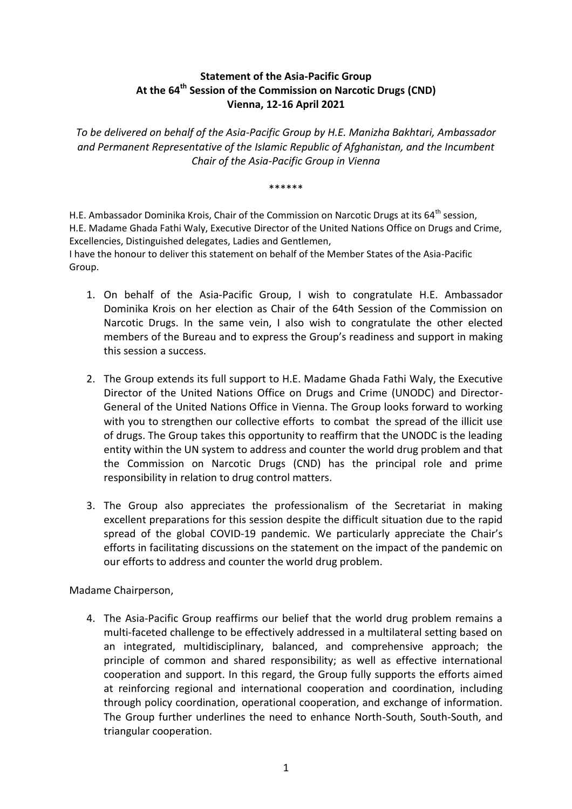## **Statement of the Asia-Pacific Group At the 64th Session of the Commission on Narcotic Drugs (CND) Vienna, 12-16 April 2021**

*To be delivered on behalf of the Asia-Pacific Group by H.E. Manizha Bakhtari, Ambassador and Permanent Representative of the Islamic Republic of Afghanistan, and the Incumbent Chair of the Asia-Pacific Group in Vienna*

\*\*\*\*\*\*

H.E. Ambassador Dominika Krois, Chair of the Commission on Narcotic Drugs at its  $64<sup>th</sup>$  session, H.E. Madame Ghada Fathi Waly, Executive Director of the United Nations Office on Drugs and Crime, Excellencies, Distinguished delegates, Ladies and Gentlemen,

I have the honour to deliver this statement on behalf of the Member States of the Asia-Pacific Group.

- 1. On behalf of the Asia-Pacific Group, I wish to congratulate H.E. Ambassador Dominika Krois on her election as Chair of the 64th Session of the Commission on Narcotic Drugs. In the same vein, I also wish to congratulate the other elected members of the Bureau and to express the Group's readiness and support in making this session a success.
- 2. The Group extends its full support to H.E. Madame Ghada Fathi Waly, the Executive Director of the United Nations Office on Drugs and Crime (UNODC) and Director-General of the United Nations Office in Vienna. The Group looks forward to working with you to strengthen our collective efforts to combat the spread of the illicit use of drugs. The Group takes this opportunity to reaffirm that the UNODC is the leading entity within the UN system to address and counter the world drug problem and that the Commission on Narcotic Drugs (CND) has the principal role and prime responsibility in relation to drug control matters.
- 3. The Group also appreciates the professionalism of the Secretariat in making excellent preparations for this session despite the difficult situation due to the rapid spread of the global COVID-19 pandemic. We particularly appreciate the Chair's efforts in facilitating discussions on the statement on the impact of the pandemic on our efforts to address and counter the world drug problem.

Madame Chairperson,

4. The Asia-Pacific Group reaffirms our belief that the world drug problem remains a multi-faceted challenge to be effectively addressed in a multilateral setting based on an integrated, multidisciplinary, balanced, and comprehensive approach; the principle of common and shared responsibility; as well as effective international cooperation and support. In this regard, the Group fully supports the efforts aimed at reinforcing regional and international cooperation and coordination, including through policy coordination, operational cooperation, and exchange of information. The Group further underlines the need to enhance North-South, South-South, and triangular cooperation.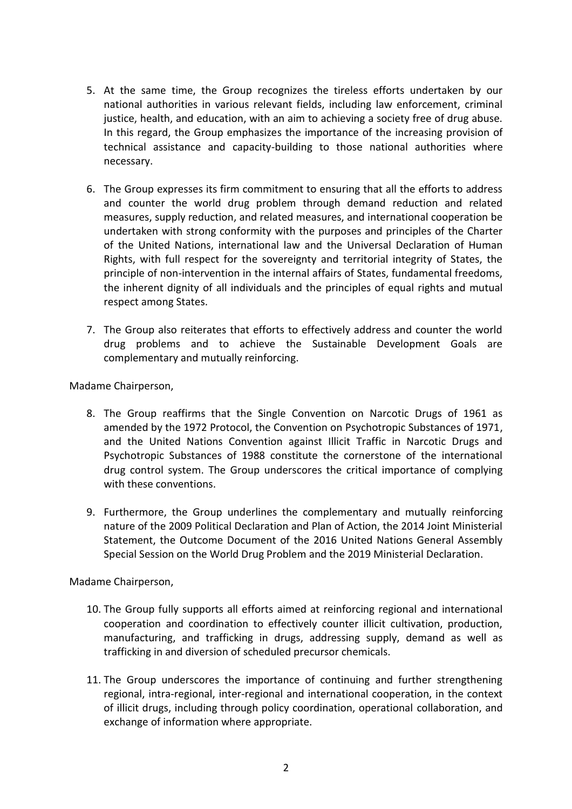- 5. At the same time, the Group recognizes the tireless efforts undertaken by our national authorities in various relevant fields, including law enforcement, criminal justice, health, and education, with an aim to achieving a society free of drug abuse. In this regard, the Group emphasizes the importance of the increasing provision of technical assistance and capacity-building to those national authorities where necessary.
- 6. The Group expresses its firm commitment to ensuring that all the efforts to address and counter the world drug problem through demand reduction and related measures, supply reduction, and related measures, and international cooperation be undertaken with strong conformity with the purposes and principles of the Charter of the United Nations, international law and the Universal Declaration of Human Rights, with full respect for the sovereignty and territorial integrity of States, the principle of non-intervention in the internal affairs of States, fundamental freedoms, the inherent dignity of all individuals and the principles of equal rights and mutual respect among States.
- 7. The Group also reiterates that efforts to effectively address and counter the world drug problems and to achieve the Sustainable Development Goals are complementary and mutually reinforcing.

Madame Chairperson,

- 8. The Group reaffirms that the Single Convention on Narcotic Drugs of 1961 as amended by the 1972 Protocol, the Convention on Psychotropic Substances of 1971, and the United Nations Convention against Illicit Traffic in Narcotic Drugs and Psychotropic Substances of 1988 constitute the cornerstone of the international drug control system. The Group underscores the critical importance of complying with these conventions.
- 9. Furthermore, the Group underlines the complementary and mutually reinforcing nature of the 2009 Political Declaration and Plan of Action, the 2014 Joint Ministerial Statement, the Outcome Document of the 2016 United Nations General Assembly Special Session on the World Drug Problem and the 2019 Ministerial Declaration.

Madame Chairperson,

- 10. The Group fully supports all efforts aimed at reinforcing regional and international cooperation and coordination to effectively counter illicit cultivation, production, manufacturing, and trafficking in drugs, addressing supply, demand as well as trafficking in and diversion of scheduled precursor chemicals.
- 11. The Group underscores the importance of continuing and further strengthening regional, intra-regional, inter-regional and international cooperation, in the context of illicit drugs, including through policy coordination, operational collaboration, and exchange of information where appropriate.